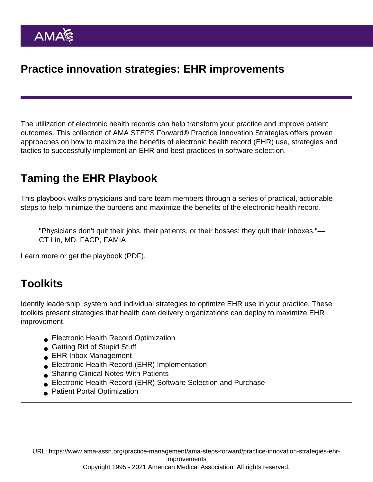# Practice innovation strategies: EHR improvements

The utilization of electronic health records can help transform your practice and improve patient outcomes. This collection of AMA STEPS Forward® Practice Innovation Strategies offers proven approaches on how to maximize the benefits of electronic health record (EHR) use, strategies and tactics to successfully implement an EHR and best practices in software selection.

# Taming the EHR Playbook

This playbook walks physicians and care team members through a series of practical, actionable steps to help minimize the burdens and maximize the benefits of the electronic health record.

"Physicians don't quit their jobs, their patients, or their bosses; they quit their inboxes."— CT Lin, MD, FACP, FAMIA

[Learn more](https://www.ama-assn.org/practice-management/ama-steps-forward/taming-ehr-playbook) or [get the playbook](https://www.ama-assn.org/system/files/steps-forward-taming-ehr-playbook.pdf) (PDF).

### **Toolkits**

Identify leadership, system and individual strategies to optimize EHR use in your practice. These toolkits present strategies that health care delivery organizations can deploy to maximize EHR improvement.

- **[Electronic Health Record Optimization](https://edhub.ama-assn.org/steps-forward/module/2702761)**
- [Getting Rid of Stupid Stuff](https://edhub.ama-assn.org/steps-forward/module/2757858)
- **[EHR Inbox Management](https://edhub.ama-assn.org/steps-forward/module/2702694)**
- [Electronic Health Record \(EHR\) Implementation](https://edhub.ama-assn.org/steps-forward/module/2702512)
- **[Sharing Clinical Notes With Patients](https://edhub.ama-assn.org/steps-forward/module/2781026)**
- [Electronic Health Record \(EHR\) Software Selection and Purchase](https://edhub.ama-assn.org/steps-forward/module/2702748)
- **[Patient Portal Optimization](https://edhub.ama-assn.org/steps-forward/module/2767762)**

URL: [https://www.ama-assn.org/practice-management/ama-steps-forward/practice-innovation-strategies-ehr](https://www.ama-assn.org/practice-management/ama-steps-forward/practice-innovation-strategies-ehr-improvements)[improvements](https://www.ama-assn.org/practice-management/ama-steps-forward/practice-innovation-strategies-ehr-improvements)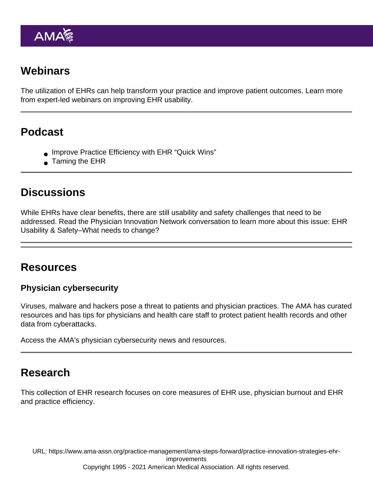# **Webinars**

The utilization of EHRs can help transform your practice and improve patient outcomes. Learn more from expert-led webinars on improving EHR usability.

# Podcast

- **[Improve Practice Efficiency with EHR "Quick Wins"](https://open.spotify.com/episode/1eXQssHxsXqF5oV9qR29Pr)**
- [Taming the EHR](https://open.spotify.com/episode/5RDsyi9mb1VsUtAzijHkAp)

### **Discussions**

While EHRs have clear benefits, there are still usability and safety challenges that need to be addressed. Read the Physician Innovation Network conversation to learn more about this issue: [EHR](https://innovationmatch.ama-assn.org/groups/ama-physician-innovation-network-public-area/discussions/ehr-usability-safety-what-needs-to-change) [Usability & Safety–What needs to change?](https://innovationmatch.ama-assn.org/groups/ama-physician-innovation-network-public-area/discussions/ehr-usability-safety-what-needs-to-change)

#### Resources

Physician cybersecurity

Viruses, malware and hackers pose a threat to patients and physician practices. The AMA has curated resources and has tips for physicians and health care staff to protect patient health records and other data from cyberattacks.

[Access the AMA's physician cybersecurity news and resources](https://www.ama-assn.org/practice-management/sustainability/physician-cybersecurity).

### Research

This collection of EHR research focuses on core measures of EHR use, physician burnout and EHR and practice efficiency.

URL: [https://www.ama-assn.org/practice-management/ama-steps-forward/practice-innovation-strategies-ehr](https://www.ama-assn.org/practice-management/ama-steps-forward/practice-innovation-strategies-ehr-improvements)[improvements](https://www.ama-assn.org/practice-management/ama-steps-forward/practice-innovation-strategies-ehr-improvements) Copyright 1995 - 2021 American Medical Association. All rights reserved.